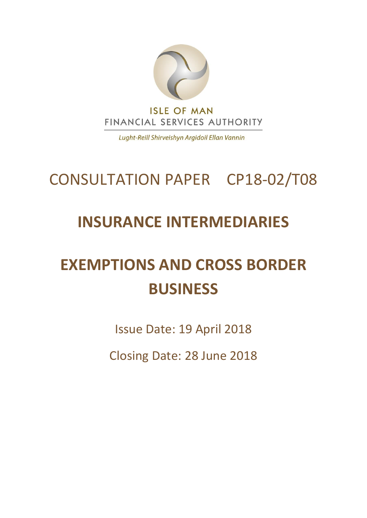

Lught-Reill Shirveishyn Argidoil Ellan Vannin

# CONSULTATION PAPER CP18-02/T08

## **INSURANCE INTERMEDIARIES**

# **EXEMPTIONS AND CROSS BORDER BUSINESS**

Issue Date: 19 April 2018

Closing Date: 28 June 2018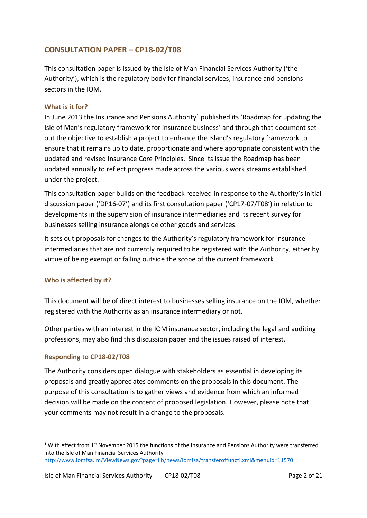#### **CONSULTATION PAPER – CP18-02/T08**

This consultation paper is issued by the Isle of Man Financial Services Authority ('the Authority'), which is the regulatory body for financial services, insurance and pensions sectors in the IOM.

#### **What is it for?**

In June 2013 the Insurance and Pensions Authority<sup>1</sup> published its 'Roadmap for updating the Isle of Man's regulatory framework for insurance business' and through that document set out the objective to establish a project to enhance the Island's regulatory framework to ensure that it remains up to date, proportionate and where appropriate consistent with the updated and revised Insurance Core Principles. Since its issue the Roadmap has been updated annually to reflect progress made across the various work streams established under the project.

This consultation paper builds on the feedback received in response to the Authority's initial discussion paper ('DP16-07') and its first consultation paper ('CP17-07/T08') in relation to developments in the supervision of insurance intermediaries and its recent survey for businesses selling insurance alongside other goods and services.

It sets out proposals for changes to the Authority's regulatory framework for insurance intermediaries that are not currently required to be registered with the Authority, either by virtue of being exempt or falling outside the scope of the current framework.

#### **Who is affected by it?**

This document will be of direct interest to businesses selling insurance on the IOM, whether registered with the Authority as an insurance intermediary or not.

Other parties with an interest in the IOM insurance sector, including the legal and auditing professions, may also find this discussion paper and the issues raised of interest.

#### **Responding to CP18-02/T08**

-

The Authority considers open dialogue with stakeholders as essential in developing its proposals and greatly appreciates comments on the proposals in this document. The purpose of this consultation is to gather views and evidence from which an informed decision will be made on the content of proposed legislation. However, please note that your comments may not result in a change to the proposals.

 $1$  With effect from  $1<sup>st</sup>$  November 2015 the functions of the Insurance and Pensions Authority were transferred into the Isle of Man Financial Services Authority <http://www.iomfsa.im/ViewNews.gov?page=lib/news/iomfsa/transferoffuncti.xml&menuid=11570>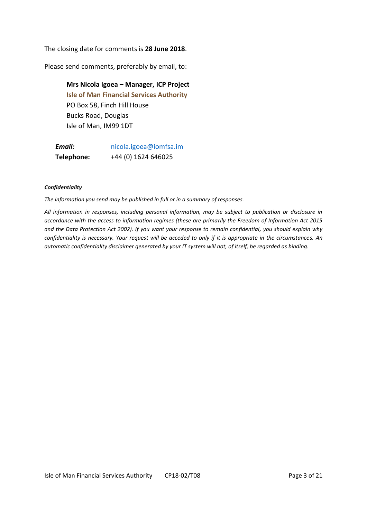The closing date for comments is **28 June 2018**.

Please send comments, preferably by email, to:

**Mrs Nicola Igoea – Manager, ICP Project Isle of Man Financial Services Authority** PO Box 58, Finch Hill House Bucks Road, Douglas Isle of Man, IM99 1DT

*Email:* [nicola.igoea@iomfsa.im](mailto:nicola.igoea@iomfsa.im) **Telephone:** +44 (0) 1624 646025

#### *Confidentiality*

*The information you send may be published in full or in a summary of responses.* 

*All information in responses, including personal information, may be subject to publication or disclosure in accordance with the access to information regimes (these are primarily the Freedom of Information Act 2015 and the Data Protection Act 2002). If you want your response to remain confidential, you should explain why confidentiality is necessary. Your request will be acceded to only if it is appropriate in the circumstances. An automatic confidentiality disclaimer generated by your IT system will not, of itself, be regarded as binding.*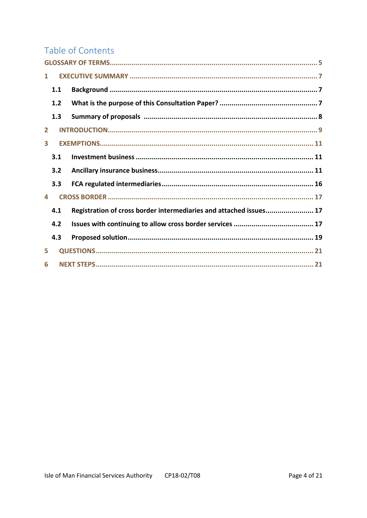## Table of Contents

| 1            |     |                                                                    |  |  |
|--------------|-----|--------------------------------------------------------------------|--|--|
|              | 1.1 |                                                                    |  |  |
|              | 1.2 |                                                                    |  |  |
|              | 1.3 |                                                                    |  |  |
| $\mathbf{2}$ |     |                                                                    |  |  |
| 3            |     |                                                                    |  |  |
|              | 3.1 |                                                                    |  |  |
|              | 3.2 |                                                                    |  |  |
|              | 3.3 |                                                                    |  |  |
| Δ.           |     |                                                                    |  |  |
|              | 4.1 | Registration of cross border intermediaries and attached issues 17 |  |  |
|              | 4.2 |                                                                    |  |  |
|              | 4.3 |                                                                    |  |  |
| 5.           |     |                                                                    |  |  |
| 6            |     |                                                                    |  |  |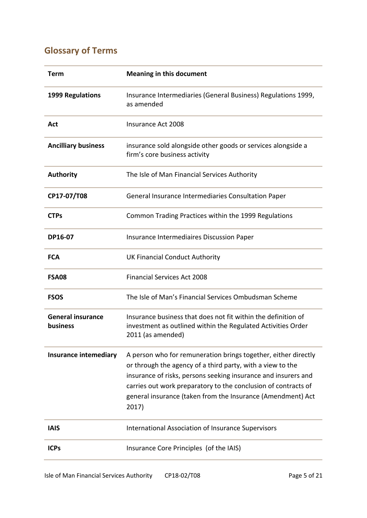## <span id="page-4-0"></span>**Glossary of Terms**

| Term                                 | <b>Meaning in this document</b>                                                                                                                                                                                                                                                                                                          |
|--------------------------------------|------------------------------------------------------------------------------------------------------------------------------------------------------------------------------------------------------------------------------------------------------------------------------------------------------------------------------------------|
| <b>1999 Regulations</b>              | Insurance Intermediaries (General Business) Regulations 1999,<br>as amended                                                                                                                                                                                                                                                              |
| Act                                  | Insurance Act 2008                                                                                                                                                                                                                                                                                                                       |
| <b>Ancilliary business</b>           | insurance sold alongside other goods or services alongside a<br>firm's core business activity                                                                                                                                                                                                                                            |
| <b>Authority</b>                     | The Isle of Man Financial Services Authority                                                                                                                                                                                                                                                                                             |
| CP17-07/T08                          | General Insurance Intermediaries Consultation Paper                                                                                                                                                                                                                                                                                      |
| <b>CTPs</b>                          | Common Trading Practices within the 1999 Regulations                                                                                                                                                                                                                                                                                     |
| DP16-07                              | Insurance Intermediaires Discussion Paper                                                                                                                                                                                                                                                                                                |
| <b>FCA</b>                           | <b>UK Financial Conduct Authority</b>                                                                                                                                                                                                                                                                                                    |
| <b>FSA08</b>                         | <b>Financial Services Act 2008</b>                                                                                                                                                                                                                                                                                                       |
| <b>FSOS</b>                          | The Isle of Man's Financial Services Ombudsman Scheme                                                                                                                                                                                                                                                                                    |
| <b>General insurance</b><br>business | Insurance business that does not fit within the definition of<br>investment as outlined within the Regulated Activities Order<br>2011 (as amended)                                                                                                                                                                                       |
| <b>Insurance intemediary</b>         | A person who for remuneration brings together, either directly<br>or through the agency of a third party, with a view to the<br>insurance of risks, persons seeking insurance and insurers and<br>carries out work preparatory to the conclusion of contracts of<br>general insurance (taken from the Insurance (Amendment) Act<br>2017) |
| <b>IAIS</b>                          | International Association of Insurance Supervisors                                                                                                                                                                                                                                                                                       |
| <b>ICPs</b>                          | Insurance Core Principles (of the IAIS)                                                                                                                                                                                                                                                                                                  |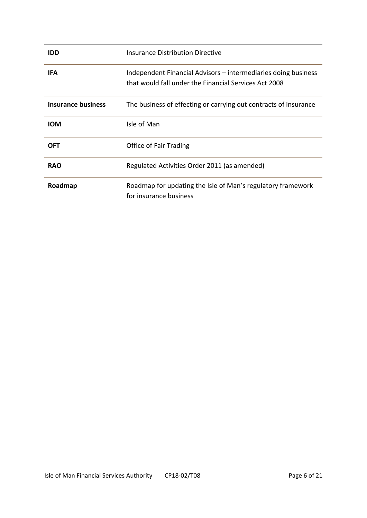| <b>IDD</b>                | <b>Insurance Distribution Directive</b>                                                                                 |
|---------------------------|-------------------------------------------------------------------------------------------------------------------------|
| <b>IFA</b>                | Independent Financial Advisors – intermediaries doing business<br>that would fall under the Financial Services Act 2008 |
| <b>Insurance business</b> | The business of effecting or carrying out contracts of insurance                                                        |
| <b>IOM</b>                | Isle of Man                                                                                                             |
| OFT                       | Office of Fair Trading                                                                                                  |
| <b>RAO</b>                | Regulated Activities Order 2011 (as amended)                                                                            |
| Roadmap                   | Roadmap for updating the Isle of Man's regulatory framework<br>for insurance business                                   |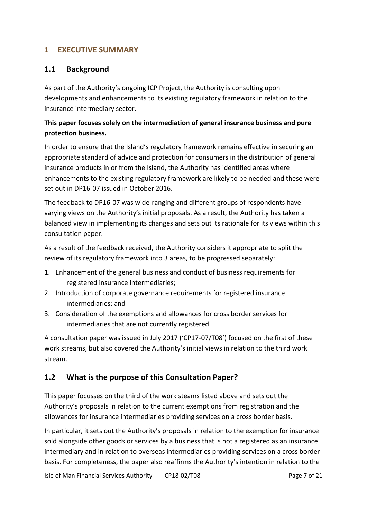#### <span id="page-6-0"></span>**1 EXECUTIVE SUMMARY**

#### <span id="page-6-1"></span>**1.1 Background**

As part of the Authority's ongoing ICP Project, the Authority is consulting upon developments and enhancements to its existing regulatory framework in relation to the insurance intermediary sector.

#### **This paper focuses solely on the intermediation of general insurance business and pure protection business.**

In order to ensure that the Island's regulatory framework remains effective in securing an appropriate standard of advice and protection for consumers in the distribution of general insurance products in or from the Island, the Authority has identified areas where enhancements to the existing regulatory framework are likely to be needed and these were set out in DP16-07 issued in October 2016.

The feedback to DP16-07 was wide-ranging and different groups of respondents have varying views on the Authority's initial proposals. As a result, the Authority has taken a balanced view in implementing its changes and sets out its rationale for its views within this consultation paper.

As a result of the feedback received, the Authority considers it appropriate to split the review of its regulatory framework into 3 areas, to be progressed separately:

- 1. Enhancement of the general business and conduct of business requirements for registered insurance intermediaries;
- 2. Introduction of corporate governance requirements for registered insurance intermediaries; and
- 3. Consideration of the exemptions and allowances for cross border services for intermediaries that are not currently registered.

A consultation paper was issued in July 2017 ('CP17-07/T08') focused on the first of these work streams, but also covered the Authority's initial views in relation to the third work stream.

#### <span id="page-6-2"></span>**1.2 What is the purpose of this Consultation Paper?**

This paper focusses on the third of the work steams listed above and sets out the Authority's proposals in relation to the current exemptions from registration and the allowances for insurance intermediaries providing services on a cross border basis.

In particular, it sets out the Authority's proposals in relation to the exemption for insurance sold alongside other goods or services by a business that is not a registered as an insurance intermediary and in relation to overseas intermediaries providing services on a cross border basis. For completeness, the paper also reaffirms the Authority's intention in relation to the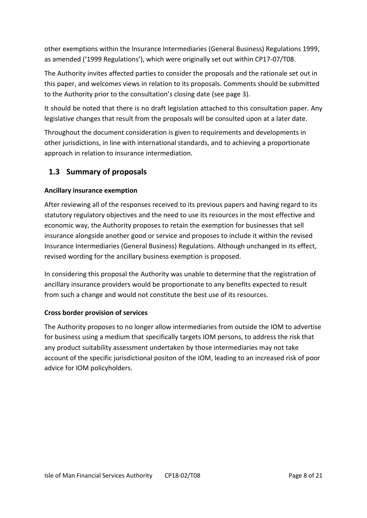other exemptions within the Insurance Intermediaries (General Business) Regulations 1999, as amended ('1999 Regulations'), which were originally set out within CP17-07/T08.

The Authority invites affected parties to consider the proposals and the rationale set out in this paper, and welcomes views in relation to its proposals. Comments should be submitted to the Authority prior to the consultation's closing date (see page 3).

It should be noted that there is no draft legislation attached to this consultation paper. Any legislative changes that result from the proposals will be consulted upon at a later date.

Throughout the document consideration is given to requirements and developments in other jurisdictions, in line with international standards, and to achieving a proportionate approach in relation to insurance intermediation.

#### <span id="page-7-0"></span>**1.3 Summary of proposals**

#### **Ancillary insurance exemption**

After reviewing all of the responses received to its previous papers and having regard to its statutory regulatory objectives and the need to use its resources in the most effective and economic way, the Authority proposes to retain the exemption for businesses that sell insurance alongside another good or service and proposes to include it within the revised Insurance Intermediaries (General Business) Regulations. Although unchanged in its effect, revised wording for the ancillary business exemption is proposed.

In considering this proposal the Authority was unable to determine that the registration of ancillary insurance providers would be proportionate to any benefits expected to result from such a change and would not constitute the best use of its resources.

#### **Cross border provision of services**

The Authority proposes to no longer allow intermediaries from outside the IOM to advertise for business using a medium that specifically targets IOM persons, to address the risk that any product suitability assessment undertaken by those intermediaries may not take account of the specific jurisdictional positon of the IOM, leading to an increased risk of poor advice for IOM policyholders.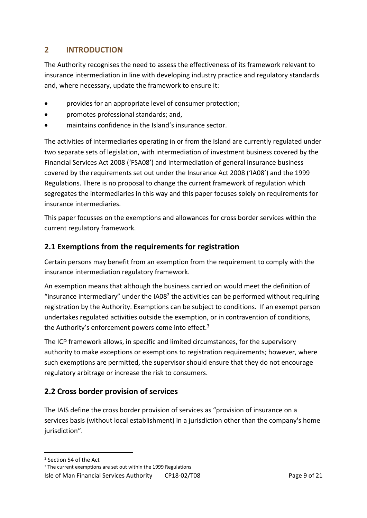#### <span id="page-8-0"></span>**2 INTRODUCTION**

The Authority recognises the need to assess the effectiveness of its framework relevant to insurance intermediation in line with developing industry practice and regulatory standards and, where necessary, update the framework to ensure it:

- provides for an appropriate level of consumer protection;
- promotes professional standards; and,
- maintains confidence in the Island's insurance sector.

The activities of intermediaries operating in or from the Island are currently regulated under two separate sets of legislation, with intermediation of investment business covered by the Financial Services Act 2008 ('FSA08') and intermediation of general insurance business covered by the requirements set out under the Insurance Act 2008 ('IA08') and the 1999 Regulations. There is no proposal to change the current framework of regulation which segregates the intermediaries in this way and this paper focuses solely on requirements for insurance intermediaries.

This paper focusses on the exemptions and allowances for cross border services within the current regulatory framework.

#### **2.1 Exemptions from the requirements for registration**

Certain persons may benefit from an exemption from the requirement to comply with the insurance intermediation regulatory framework.

An exemption means that although the business carried on would meet the definition of "insurance intermediary" under the IA08<sup>2</sup> the activities can be performed without requiring registration by the Authority. Exemptions can be subject to conditions. If an exempt person undertakes regulated activities outside the exemption, or in contravention of conditions, the Authority's enforcement powers come into effect.<sup>3</sup>

The ICP framework allows, in specific and limited circumstances, for the supervisory authority to make exceptions or exemptions to registration requirements; however, where such exemptions are permitted, the supervisor should ensure that they do not encourage regulatory arbitrage or increase the risk to consumers.

#### **2.2 Cross border provision of services**

The IAIS define the cross border provision of services as "provision of insurance on a services basis (without local establishment) in a jurisdiction other than the company's home jurisdiction".

<sup>&</sup>lt;sup>2</sup> Section 54 of the Act

<sup>&</sup>lt;sup>3</sup> The current exemptions are set out within the 1999 Regulations

Isle of Man Financial Services Authority CP18-02/T08 Page 9 of 21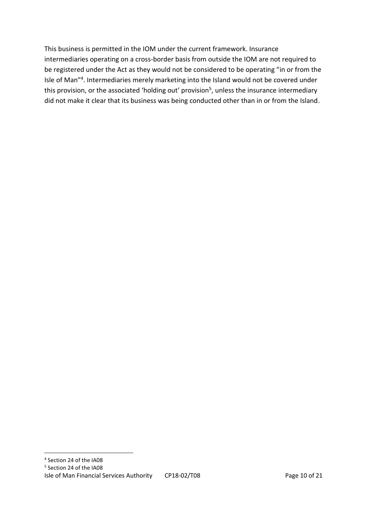This business is permitted in the IOM under the current framework. Insurance intermediaries operating on a cross-border basis from outside the IOM are not required to be registered under the Act as they would not be considered to be operating "in or from the Isle of Man"<sup>4</sup>. Intermediaries merely marketing into the Island would not be covered under this provision, or the associated 'holding out' provision<sup>5</sup>, unless the insurance intermediary did not make it clear that its business was being conducted other than in or from the Island.

1

<sup>4</sup> Section 24 of the IA08

<sup>5</sup> Section 24 of the IA08

Isle of Man Financial Services Authority CP18-02/T08 Page 10 of 21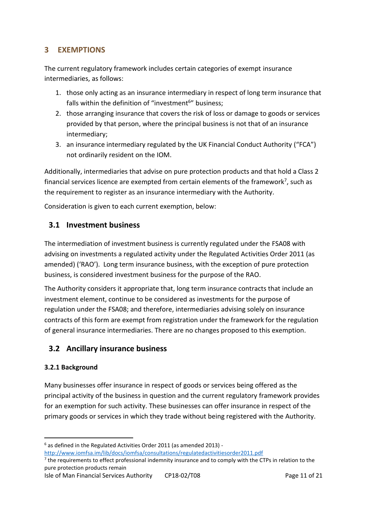#### <span id="page-10-0"></span>**3 EXEMPTIONS**

The current regulatory framework includes certain categories of exempt insurance intermediaries, as follows:

- 1. those only acting as an insurance intermediary in respect of long term insurance that falls within the definition of "investment<sup>6</sup>" business;
- 2. those arranging insurance that covers the risk of loss or damage to goods or services provided by that person, where the principal business is not that of an insurance intermediary;
- 3. an insurance intermediary regulated by the UK Financial Conduct Authority ("FCA") not ordinarily resident on the IOM.

Additionally, intermediaries that advise on pure protection products and that hold a Class 2 financial services licence are exempted from certain elements of the framework<sup>7</sup>, such as the requirement to register as an insurance intermediary with the Authority.

Consideration is given to each current exemption, below:

#### <span id="page-10-1"></span>**3.1 Investment business**

The intermediation of investment business is currently regulated under the FSA08 with advising on investments a regulated activity under the Regulated Activities Order 2011 (as amended) ('RAO'). Long term insurance business, with the exception of pure protection business, is considered investment business for the purpose of the RAO.

The Authority considers it appropriate that, long term insurance contracts that include an investment element, continue to be considered as investments for the purpose of regulation under the FSA08; and therefore, intermediaries advising solely on insurance contracts of this form are exempt from registration under the framework for the regulation of general insurance intermediaries. There are no changes proposed to this exemption.

#### <span id="page-10-2"></span>**3.2 Ancillary insurance business**

#### **3.2.1 Background**

-

Many businesses offer insurance in respect of goods or services being offered as the principal activity of the business in question and the current regulatory framework provides for an exemption for such activity. These businesses can offer insurance in respect of the primary goods or services in which they trade without being registered with the Authority.

 $6$  as defined in the Regulated Activities Order 2011 (as amended 2013) -

<http://www.iomfsa.im/lib/docs/iomfsa/consultations/regulatedactivitiesorder2011.pdf>

<sup>&</sup>lt;sup>7</sup> the requirements to effect professional indemnity insurance and to comply with the CTPs in relation to the pure protection products remain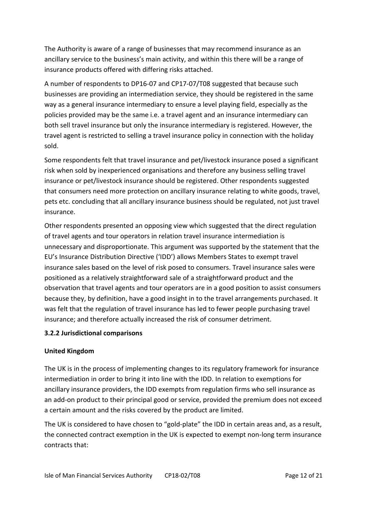The Authority is aware of a range of businesses that may recommend insurance as an ancillary service to the business's main activity, and within this there will be a range of insurance products offered with differing risks attached.

A number of respondents to DP16-07 and CP17-07/T08 suggested that because such businesses are providing an intermediation service, they should be registered in the same way as a general insurance intermediary to ensure a level playing field, especially as the policies provided may be the same i.e. a travel agent and an insurance intermediary can both sell travel insurance but only the insurance intermediary is registered. However, the travel agent is restricted to selling a travel insurance policy in connection with the holiday sold.

Some respondents felt that travel insurance and pet/livestock insurance posed a significant risk when sold by inexperienced organisations and therefore any business selling travel insurance or pet/livestock insurance should be registered. Other respondents suggested that consumers need more protection on ancillary insurance relating to white goods, travel, pets etc. concluding that all ancillary insurance business should be regulated, not just travel insurance.

Other respondents presented an opposing view which suggested that the direct regulation of travel agents and tour operators in relation travel insurance intermediation is unnecessary and disproportionate. This argument was supported by the statement that the EU's Insurance Distribution Directive ('IDD') allows Members States to exempt travel insurance sales based on the level of risk posed to consumers. Travel insurance sales were positioned as a relatively straightforward sale of a straightforward product and the observation that travel agents and tour operators are in a good position to assist consumers because they, by definition, have a good insight in to the travel arrangements purchased. It was felt that the regulation of travel insurance has led to fewer people purchasing travel insurance; and therefore actually increased the risk of consumer detriment.

#### **3.2.2 Jurisdictional comparisons**

#### **United Kingdom**

The UK is in the process of implementing changes to its regulatory framework for insurance intermediation in order to bring it into line with the IDD. In relation to exemptions for ancillary insurance providers, the IDD exempts from regulation firms who sell insurance as an add-on product to their principal good or service, provided the premium does not exceed a certain amount and the risks covered by the product are limited.

The UK is considered to have chosen to "gold-plate" the IDD in certain areas and, as a result, the connected contract exemption in the UK is expected to exempt non-long term insurance contracts that: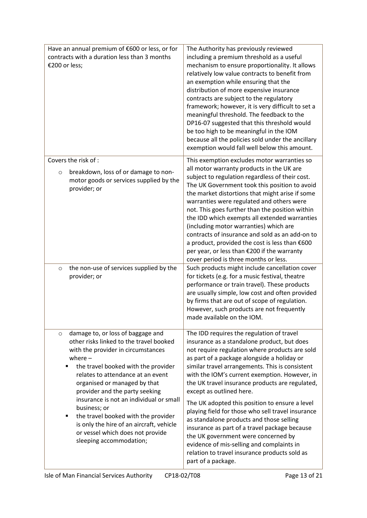| Have an annual premium of €600 or less, or for<br>contracts with a duration less than 3 months<br>€200 or less;                                                                                                                                                                                                                                                                                                                                                                                                 | The Authority has previously reviewed<br>including a premium threshold as a useful<br>mechanism to ensure proportionality. It allows<br>relatively low value contracts to benefit from<br>an exemption while ensuring that the<br>distribution of more expensive insurance<br>contracts are subject to the regulatory<br>framework; however, it is very difficult to set a<br>meaningful threshold. The feedback to the<br>DP16-07 suggested that this threshold would<br>be too high to be meaningful in the IOM<br>because all the policies sold under the ancillary<br>exemption would fall well below this amount.                                                                                                                      |
|-----------------------------------------------------------------------------------------------------------------------------------------------------------------------------------------------------------------------------------------------------------------------------------------------------------------------------------------------------------------------------------------------------------------------------------------------------------------------------------------------------------------|---------------------------------------------------------------------------------------------------------------------------------------------------------------------------------------------------------------------------------------------------------------------------------------------------------------------------------------------------------------------------------------------------------------------------------------------------------------------------------------------------------------------------------------------------------------------------------------------------------------------------------------------------------------------------------------------------------------------------------------------|
| Covers the risk of :<br>breakdown, loss of or damage to non-<br>O<br>motor goods or services supplied by the<br>provider; or                                                                                                                                                                                                                                                                                                                                                                                    | This exemption excludes motor warranties so<br>all motor warranty products in the UK are<br>subject to regulation regardless of their cost.<br>The UK Government took this position to avoid<br>the market distortions that might arise if some<br>warranties were regulated and others were<br>not. This goes further than the position within<br>the IDD which exempts all extended warranties<br>(including motor warranties) which are<br>contracts of insurance and sold as an add-on to<br>a product, provided the cost is less than €600<br>per year, or less than €200 if the warranty<br>cover period is three months or less.                                                                                                     |
| the non-use of services supplied by the<br>$\circ$<br>provider; or                                                                                                                                                                                                                                                                                                                                                                                                                                              | Such products might include cancellation cover<br>for tickets (e.g. for a music festival, theatre<br>performance or train travel). These products<br>are usually simple, low cost and often provided<br>by firms that are out of scope of regulation.<br>However, such products are not frequently<br>made available on the IOM.                                                                                                                                                                                                                                                                                                                                                                                                            |
| damage to, or loss of baggage and<br>$\circ$<br>other risks linked to the travel booked<br>with the provider in circumstances<br>where $-$<br>the travel booked with the provider<br>٠<br>relates to attendance at an event<br>organised or managed by that<br>provider and the party seeking<br>insurance is not an individual or small<br>business; or<br>the travel booked with the provider<br>٠<br>is only the hire of an aircraft, vehicle<br>or vessel which does not provide<br>sleeping accommodation; | The IDD requires the regulation of travel<br>insurance as a standalone product, but does<br>not require regulation where products are sold<br>as part of a package alongside a holiday or<br>similar travel arrangements. This is consistent<br>with the IOM's current exemption. However, in<br>the UK travel insurance products are regulated,<br>except as outlined here.<br>The UK adopted this position to ensure a level<br>playing field for those who sell travel insurance<br>as standalone products and those selling<br>insurance as part of a travel package because<br>the UK government were concerned by<br>evidence of mis-selling and complaints in<br>relation to travel insurance products sold as<br>part of a package. |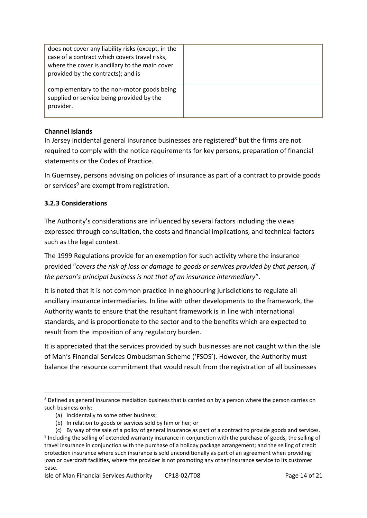| does not cover any liability risks (except, in the<br>case of a contract which covers travel risks,<br>where the cover is ancillary to the main cover<br>provided by the contracts); and is |  |
|---------------------------------------------------------------------------------------------------------------------------------------------------------------------------------------------|--|
| complementary to the non-motor goods being<br>supplied or service being provided by the<br>provider.                                                                                        |  |

#### **Channel Islands**

In Jersey incidental general insurance businesses are registered<sup>8</sup> but the firms are not required to comply with the notice requirements for key persons, preparation of financial statements or the Codes of Practice.

In Guernsey, persons advising on policies of insurance as part of a contract to provide goods or services<sup>9</sup> are exempt from registration.

#### **3.2.3 Considerations**

The Authority's considerations are influenced by several factors including the views expressed through consultation, the costs and financial implications, and technical factors such as the legal context.

The 1999 Regulations provide for an exemption for such activity where the insurance provided "*covers the risk of loss or damage to goods or services provided by that person, if the person's principal business is not that of an insurance intermediary*".

It is noted that it is not common practice in neighbouring jurisdictions to regulate all ancillary insurance intermediaries. In line with other developments to the framework, the Authority wants to ensure that the resultant framework is in line with international standards, and is proportionate to the sector and to the benefits which are expected to result from the imposition of any regulatory burden.

It is appreciated that the services provided by such businesses are not caught within the Isle of Man's Financial Services Ombudsman Scheme ('FSOS'). However, the Authority must balance the resource commitment that would result from the registration of all businesses

<sup>&</sup>lt;sup>8</sup> Defined as general insurance mediation business that is carried on by a person where the person carries on such business only:

<sup>(</sup>a) Incidentally to some other business;

<sup>(</sup>b) In relation to goods or services sold by him or her; or

<sup>(</sup>c) By way of the sale of a policy of general insurance as part of a contract to provide goods and services. <sup>9</sup> Including the selling of extended warranty insurance in conjunction with the purchase of goods, the selling of travel insurance in conjunction with the purchase of a holiday package arrangement; and the selling of credit protection insurance where such insurance is sold unconditionally as part of an agreement when providing loan or overdraft facilities, where the provider is not promoting any other insurance service to its customer base.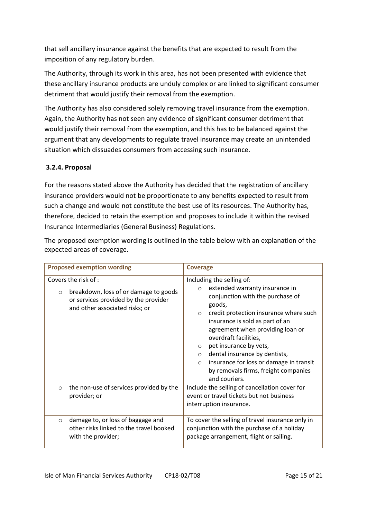that sell ancillary insurance against the benefits that are expected to result from the imposition of any regulatory burden.

The Authority, through its work in this area, has not been presented with evidence that these ancillary insurance products are unduly complex or are linked to significant consumer detriment that would justify their removal from the exemption.

The Authority has also considered solely removing travel insurance from the exemption. Again, the Authority has not seen any evidence of significant consumer detriment that would justify their removal from the exemption, and this has to be balanced against the argument that any developments to regulate travel insurance may create an unintended situation which dissuades consumers from accessing such insurance.

#### **3.2.4. Proposal**

For the reasons stated above the Authority has decided that the registration of ancillary insurance providers would not be proportionate to any benefits expected to result from such a change and would not constitute the best use of its resources. The Authority has, therefore, decided to retain the exemption and proposes to include it within the revised Insurance Intermediaries (General Business) Regulations.

The proposed exemption wording is outlined in the table below with an explanation of the expected areas of coverage.

| <b>Proposed exemption wording</b>                                                                                                                  | <b>Coverage</b>                                                                                                                                                                                                                                                                                                                                                                                                                                                           |
|----------------------------------------------------------------------------------------------------------------------------------------------------|---------------------------------------------------------------------------------------------------------------------------------------------------------------------------------------------------------------------------------------------------------------------------------------------------------------------------------------------------------------------------------------------------------------------------------------------------------------------------|
| Covers the risk of :<br>breakdown, loss of or damage to goods<br>$\circ$<br>or services provided by the provider<br>and other associated risks; or | Including the selling of:<br>extended warranty insurance in<br>$\circ$<br>conjunction with the purchase of<br>goods,<br>credit protection insurance where such<br>$\circ$<br>insurance is sold as part of an<br>agreement when providing loan or<br>overdraft facilities,<br>pet insurance by vets,<br>$\circ$<br>dental insurance by dentists,<br>$\circ$<br>insurance for loss or damage in transit<br>$\circ$<br>by removals firms, freight companies<br>and couriers. |
| the non-use of services provided by the<br>$\circ$<br>provider; or                                                                                 | Include the selling of cancellation cover for<br>event or travel tickets but not business<br>interruption insurance.                                                                                                                                                                                                                                                                                                                                                      |
| damage to, or loss of baggage and<br>$\Omega$<br>other risks linked to the travel booked<br>with the provider;                                     | To cover the selling of travel insurance only in<br>conjunction with the purchase of a holiday<br>package arrangement, flight or sailing.                                                                                                                                                                                                                                                                                                                                 |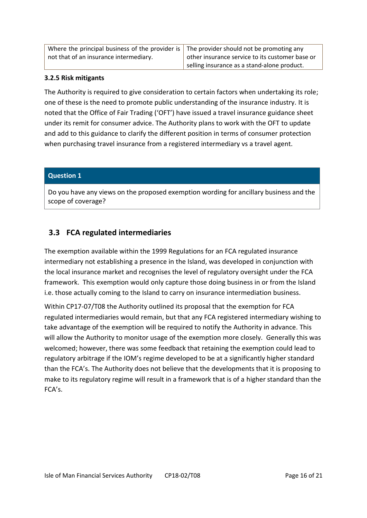| Where the principal business of the provider is $\vert$ The provider should not be promoting any |                                                 |
|--------------------------------------------------------------------------------------------------|-------------------------------------------------|
| not that of an insurance intermediary.                                                           | other insurance service to its customer base or |
|                                                                                                  | selling insurance as a stand-alone product.     |

#### **3.2.5 Risk mitigants**

The Authority is required to give consideration to certain factors when undertaking its role; one of these is the need to promote public understanding of the insurance industry. It is noted that the Office of Fair Trading ('OFT') have issued a travel insurance guidance sheet under its remit for consumer advice. The Authority plans to work with the OFT to update and add to this guidance to clarify the different position in terms of consumer protection when purchasing travel insurance from a registered intermediary vs a travel agent.

#### **Question 1**

Do you have any views on the proposed exemption wording for ancillary business and the scope of coverage?

#### <span id="page-15-0"></span>**3.3 FCA regulated intermediaries**

The exemption available within the 1999 Regulations for an FCA regulated insurance intermediary not establishing a presence in the Island, was developed in conjunction with the local insurance market and recognises the level of regulatory oversight under the FCA framework. This exemption would only capture those doing business in or from the Island i.e. those actually coming to the Island to carry on insurance intermediation business.

Within CP17-07/T08 the Authority outlined its proposal that the exemption for FCA regulated intermediaries would remain, but that any FCA registered intermediary wishing to take advantage of the exemption will be required to notify the Authority in advance. This will allow the Authority to monitor usage of the exemption more closely. Generally this was welcomed; however, there was some feedback that retaining the exemption could lead to regulatory arbitrage if the IOM's regime developed to be at a significantly higher standard than the FCA's. The Authority does not believe that the developments that it is proposing to make to its regulatory regime will result in a framework that is of a higher standard than the FCA's.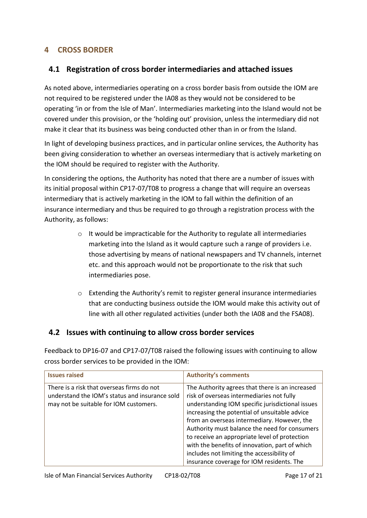#### <span id="page-16-0"></span>**4 CROSS BORDER**

#### <span id="page-16-1"></span>**4.1 Registration of cross border intermediaries and attached issues**

As noted above, intermediaries operating on a cross border basis from outside the IOM are not required to be registered under the IA08 as they would not be considered to be operating 'in or from the Isle of Man'. Intermediaries marketing into the Island would not be covered under this provision, or the 'holding out' provision, unless the intermediary did not make it clear that its business was being conducted other than in or from the Island.

In light of developing business practices, and in particular online services, the Authority has been giving consideration to whether an overseas intermediary that is actively marketing on the IOM should be required to register with the Authority.

In considering the options, the Authority has noted that there are a number of issues with its initial proposal within CP17-07/T08 to progress a change that will require an overseas intermediary that is actively marketing in the IOM to fall within the definition of an insurance intermediary and thus be required to go through a registration process with the Authority, as follows:

- o It would be impracticable for the Authority to regulate all intermediaries marketing into the Island as it would capture such a range of providers i.e. those advertising by means of national newspapers and TV channels, internet etc. and this approach would not be proportionate to the risk that such intermediaries pose.
- $\circ$  Extending the Authority's remit to register general insurance intermediaries that are conducting business outside the IOM would make this activity out of line with all other regulated activities (under both the IA08 and the FSA08).

#### <span id="page-16-2"></span>**4.2 Issues with continuing to allow cross border services**

Feedback to DP16-07 and CP17-07/T08 raised the following issues with continuing to allow cross border services to be provided in the IOM:

| <b>Issues raised</b>                           | <b>Authority's comments</b>                      |
|------------------------------------------------|--------------------------------------------------|
| There is a risk that overseas firms do not     | The Authority agrees that there is an increased  |
| understand the IOM's status and insurance sold | risk of overseas intermediaries not fully        |
| may not be suitable for IOM customers.         | understanding IOM specific jurisdictional issues |
|                                                | increasing the potential of unsuitable advice    |
|                                                | from an overseas intermediary. However, the      |
|                                                | Authority must balance the need for consumers    |
|                                                | to receive an appropriate level of protection    |
|                                                | with the benefits of innovation, part of which   |
|                                                | includes not limiting the accessibility of       |
|                                                | insurance coverage for IOM residents. The        |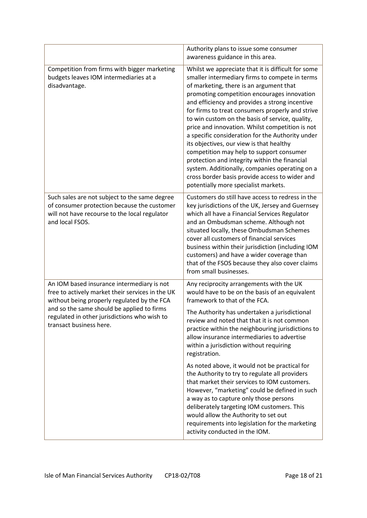|                                                                                                                                                                                                                                                                        | Authority plans to issue some consumer<br>awareness guidance in this area.                                                                                                                                                                                                                                                                                                                                                                                                                                                                                                                                                                                                                                                                          |
|------------------------------------------------------------------------------------------------------------------------------------------------------------------------------------------------------------------------------------------------------------------------|-----------------------------------------------------------------------------------------------------------------------------------------------------------------------------------------------------------------------------------------------------------------------------------------------------------------------------------------------------------------------------------------------------------------------------------------------------------------------------------------------------------------------------------------------------------------------------------------------------------------------------------------------------------------------------------------------------------------------------------------------------|
| Competition from firms with bigger marketing<br>budgets leaves IOM intermediaries at a<br>disadvantage.                                                                                                                                                                | Whilst we appreciate that it is difficult for some<br>smaller intermediary firms to compete in terms<br>of marketing, there is an argument that<br>promoting competition encourages innovation<br>and efficiency and provides a strong incentive<br>for firms to treat consumers properly and strive<br>to win custom on the basis of service, quality,<br>price and innovation. Whilst competition is not<br>a specific consideration for the Authority under<br>its objectives, our view is that healthy<br>competition may help to support consumer<br>protection and integrity within the financial<br>system. Additionally, companies operating on a<br>cross border basis provide access to wider and<br>potentially more specialist markets. |
| Such sales are not subject to the same degree<br>of consumer protection because the customer<br>will not have recourse to the local regulator<br>and local FSOS.                                                                                                       | Customers do still have access to redress in the<br>key jurisdictions of the UK, Jersey and Guernsey<br>which all have a Financial Services Regulator<br>and an Ombudsman scheme. Although not<br>situated locally, these Ombudsman Schemes<br>cover all customers of financial services<br>business within their jurisdiction (including IOM<br>customers) and have a wider coverage than<br>that of the FSOS because they also cover claims<br>from small businesses.                                                                                                                                                                                                                                                                             |
| An IOM based insurance intermediary is not<br>free to actively market their services in the UK<br>without being properly regulated by the FCA<br>and so the same should be applied to firms<br>regulated in other jurisdictions who wish to<br>transact business here. | Any reciprocity arrangements with the UK<br>would have to be on the basis of an equivalent<br>framework to that of the FCA.<br>The Authority has undertaken a jurisdictional<br>review and noted that that it is not common<br>practice within the neighbouring jurisdictions to<br>allow insurance intermediaries to advertise<br>within a jurisdiction without requiring<br>registration.                                                                                                                                                                                                                                                                                                                                                         |
|                                                                                                                                                                                                                                                                        | As noted above, it would not be practical for<br>the Authority to try to regulate all providers<br>that market their services to IOM customers.<br>However, "marketing" could be defined in such<br>a way as to capture only those persons<br>deliberately targeting IOM customers. This<br>would allow the Authority to set out<br>requirements into legislation for the marketing<br>activity conducted in the IOM.                                                                                                                                                                                                                                                                                                                               |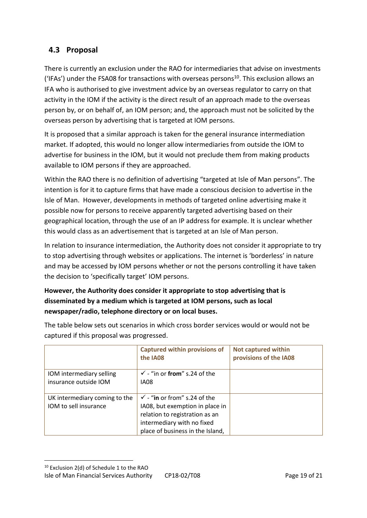#### <span id="page-18-0"></span>**4.3 Proposal**

There is currently an exclusion under the RAO for intermediaries that advise on investments ('IFAs') under the FSA08 for transactions with overseas persons<sup>10</sup>. This exclusion allows an IFA who is authorised to give investment advice by an overseas regulator to carry on that activity in the IOM if the activity is the direct result of an approach made to the overseas person by, or on behalf of, an IOM person; and, the approach must not be solicited by the overseas person by advertising that is targeted at IOM persons.

It is proposed that a similar approach is taken for the general insurance intermediation market. If adopted, this would no longer allow intermediaries from outside the IOM to advertise for business in the IOM, but it would not preclude them from making products available to IOM persons if they are approached.

Within the RAO there is no definition of advertising "targeted at Isle of Man persons". The intention is for it to capture firms that have made a conscious decision to advertise in the Isle of Man. However, developments in methods of targeted online advertising make it possible now for persons to receive apparently targeted advertising based on their geographical location, through the use of an IP address for example. It is unclear whether this would class as an advertisement that is targeted at an Isle of Man person.

In relation to insurance intermediation, the Authority does not consider it appropriate to try to stop advertising through websites or applications. The internet is 'borderless' in nature and may be accessed by IOM persons whether or not the persons controlling it have taken the decision to 'specifically target' IOM persons.

#### **However, the Authority does consider it appropriate to stop advertising that is disseminated by a medium which is targeted at IOM persons, such as local newspaper/radio, telephone directory or on local buses.**

|                               | <b>Captured within provisions of</b><br>the IA08 | <b>Not captured within</b><br>provisions of the IA08 |
|-------------------------------|--------------------------------------------------|------------------------------------------------------|
| IOM intermediary selling      | $\checkmark$ - "in or from" s.24 of the          |                                                      |
| insurance outside IOM         | <b>IA08</b>                                      |                                                      |
|                               |                                                  |                                                      |
| UK intermediary coming to the | $\checkmark$ - "in or from" s.24 of the          |                                                      |
| IOM to sell insurance         | IA08, but exemption in place in                  |                                                      |
|                               | relation to registration as an                   |                                                      |
|                               | intermediary with no fixed                       |                                                      |
|                               | place of business in the Island,                 |                                                      |

The table below sets out scenarios in which cross border services would or would not be captured if this proposal was progressed.

Isle of Man Financial Services Authority CP18-02/T08 Page 19 of 21 <sup>10</sup> Exclusion 2(d) of Schedule 1 to the RAO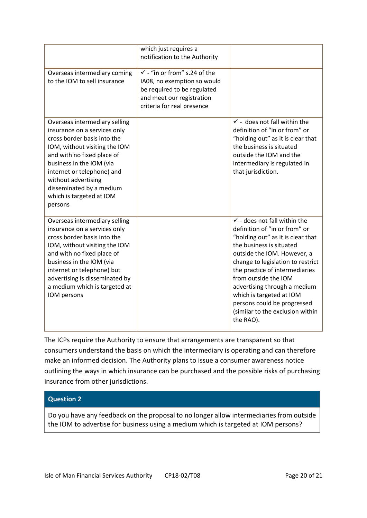|                                                                                                                                                                                                                                                                                                                 | which just requires a<br>notification to the Authority                                                                                                           |                                                                                                                                                                                                                                                                                                                                                                                                                     |
|-----------------------------------------------------------------------------------------------------------------------------------------------------------------------------------------------------------------------------------------------------------------------------------------------------------------|------------------------------------------------------------------------------------------------------------------------------------------------------------------|---------------------------------------------------------------------------------------------------------------------------------------------------------------------------------------------------------------------------------------------------------------------------------------------------------------------------------------------------------------------------------------------------------------------|
| Overseas intermediary coming<br>to the IOM to sell insurance                                                                                                                                                                                                                                                    | $\checkmark$ - "in or from" s.24 of the<br>IA08, no exemption so would<br>be required to be regulated<br>and meet our registration<br>criteria for real presence |                                                                                                                                                                                                                                                                                                                                                                                                                     |
| Overseas intermediary selling<br>insurance on a services only<br>cross border basis into the<br>IOM, without visiting the IOM<br>and with no fixed place of<br>business in the IOM (via<br>internet or telephone) and<br>without advertising<br>disseminated by a medium<br>which is targeted at IOM<br>persons |                                                                                                                                                                  | $\checkmark$ - does not fall within the<br>definition of "in or from" or<br>"holding out" as it is clear that<br>the business is situated<br>outside the IOM and the<br>intermediary is regulated in<br>that jurisdiction.                                                                                                                                                                                          |
| Overseas intermediary selling<br>insurance on a services only<br>cross border basis into the<br>IOM, without visiting the IOM<br>and with no fixed place of<br>business in the IOM (via<br>internet or telephone) but<br>advertising is disseminated by<br>a medium which is targeted at<br>IOM persons         |                                                                                                                                                                  | $\checkmark$ - does not fall within the<br>definition of "in or from" or<br>"holding out" as it is clear that<br>the business is situated<br>outside the IOM. However, a<br>change to legislation to restrict<br>the practice of intermediaries<br>from outside the IOM<br>advertising through a medium<br>which is targeted at IOM<br>persons could be progressed<br>(similar to the exclusion within<br>the RAO). |

The ICPs require the Authority to ensure that arrangements are transparent so that consumers understand the basis on which the intermediary is operating and can therefore make an informed decision. The Authority plans to issue a consumer awareness notice outlining the ways in which insurance can be purchased and the possible risks of purchasing insurance from other jurisdictions.

#### **Question 2**

<span id="page-19-0"></span>Do you have any feedback on the proposal to no longer allow intermediaries from outside the IOM to advertise for business using a medium which is targeted at IOM persons?